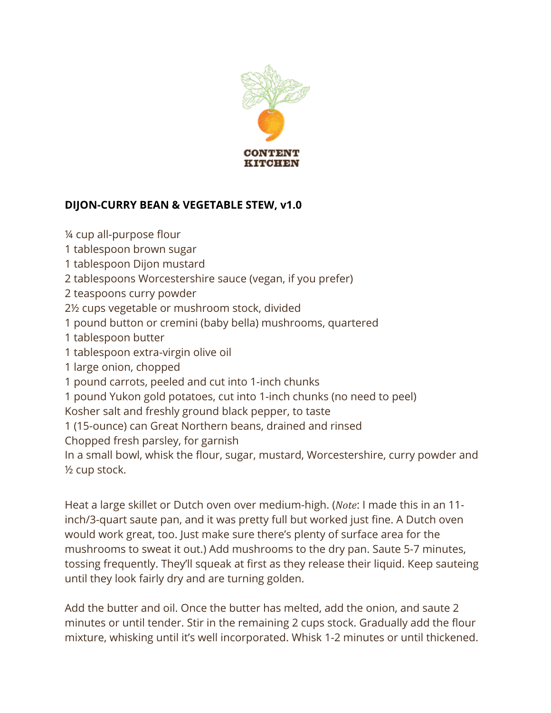

## **DIJON-CURRY BEAN & VEGETABLE STEW, v1.0**

¼ cup all-purpose flour 1 tablespoon brown sugar 1 tablespoon Dijon mustard 2 tablespoons Worcestershire sauce (vegan, if you prefer) 2 teaspoons curry powder 2½ cups vegetable or mushroom stock, divided 1 pound button or cremini (baby bella) mushrooms, quartered 1 tablespoon butter 1 tablespoon extra-virgin olive oil 1 large onion, chopped 1 pound carrots, peeled and cut into 1-inch chunks 1 pound Yukon gold potatoes, cut into 1-inch chunks (no need to peel) Kosher salt and freshly ground black pepper, to taste 1 (15-ounce) can Great Northern beans, drained and rinsed Chopped fresh parsley, for garnish In a small bowl, whisk the flour, sugar, mustard, Worcestershire, curry powder and ½ cup stock.

Heat a large skillet or Dutch oven over medium-high. (*Note*: I made this in an 11 inch/3-quart saute pan, and it was pretty full but worked just fine. A Dutch oven would work great, too. Just make sure there's plenty of surface area for the mushrooms to sweat it out.) Add mushrooms to the dry pan. Saute 5-7 minutes, tossing frequently. They'll squeak at first as they release their liquid. Keep sauteing until they look fairly dry and are turning golden.

Add the butter and oil. Once the butter has melted, add the onion, and saute 2 minutes or until tender. Stir in the remaining 2 cups stock. Gradually add the flour mixture, whisking until it's well incorporated. Whisk 1-2 minutes or until thickened.